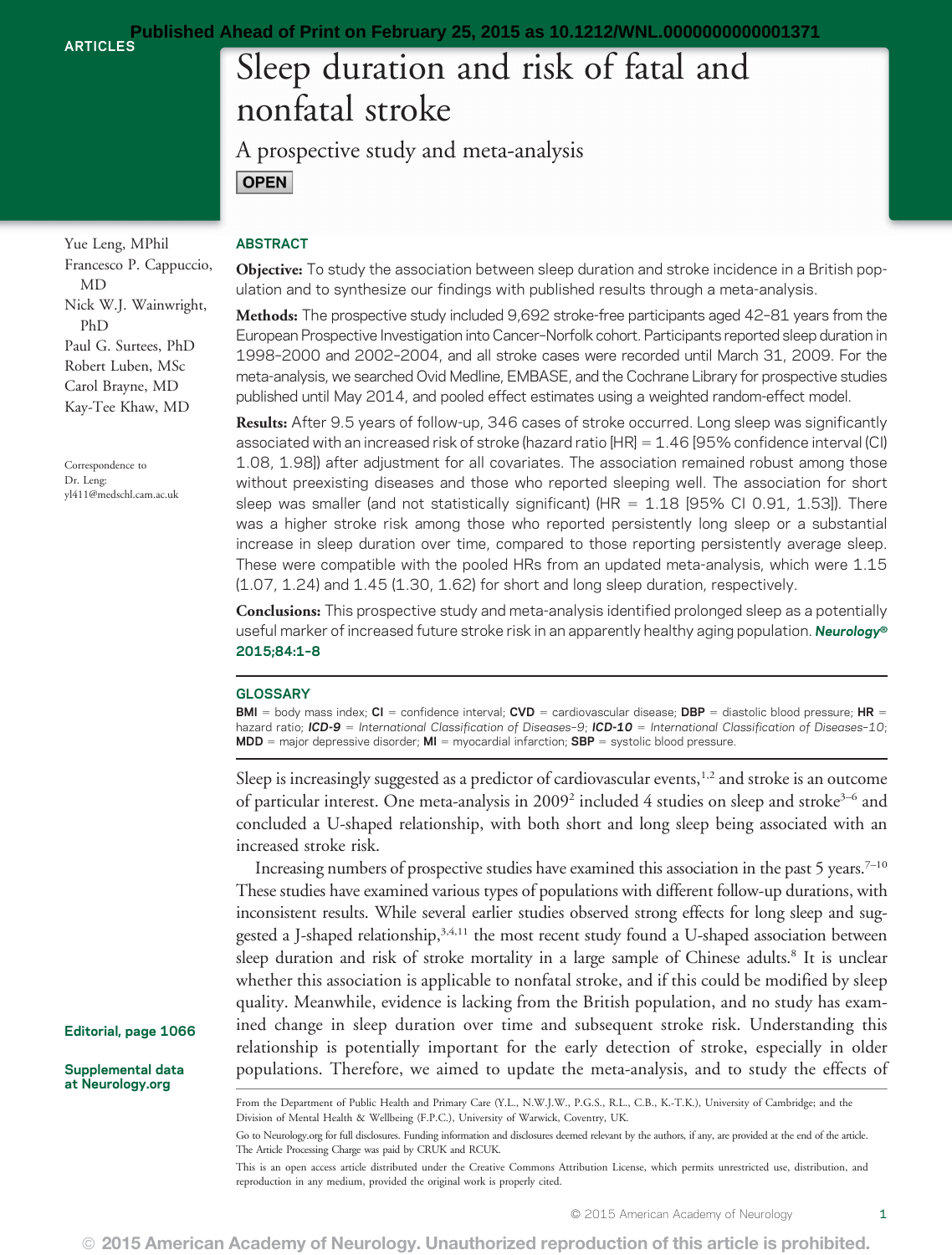# Sleep duration and risk of fatal and nonfatal stroke

A prospective study and meta-analysis **OPEN** 

Yue Leng, MPhil Francesco P. Cappuccio, MD Nick W.J. Wainwright, PhD Paul G. Surtees, PhD Robert Luben, MSc Carol Brayne, MD Kay-Tee Khaw, MD

Correspondence to Dr. Leng: [yl411@medschl.cam.ac.uk](mailto:yl411@medschl.cam.ac.uk)

# ABSTRACT

Objective: To study the association between sleep duration and stroke incidence in a British population and to synthesize our findings with published results through a meta-analysis.

Methods: The prospective study included 9,692 stroke-free participants aged 42–81 years from the European Prospective Investigation into Cancer–Norfolk cohort. Participants reported sleep duration in 1998–2000 and 2002–2004, and all stroke cases were recorded until March 31, 2009. For the meta-analysis, we searched Ovid Medline, EMBASE, and the Cochrane Library for prospective studies published until May 2014, and pooled effect estimates using a weighted random-effect model.

Results: After 9.5 years of follow-up, 346 cases of stroke occurred. Long sleep was significantly associated with an increased risk of stroke (hazard ratio  $[HR] = 1.46$  [95% confidence interval (CI) 1.08, 1.98]) after adjustment for all covariates. The association remained robust among those without preexisting diseases and those who reported sleeping well. The association for short sleep was smaller (and not statistically significant) (HR =  $1.18$  [95% CI 0.91, 1.53]). There was a higher stroke risk among those who reported persistently long sleep or a substantial increase in sleep duration over time, compared to those reporting persistently average sleep. These were compatible with the pooled HRs from an updated meta-analysis, which were 1.15 (1.07, 1.24) and 1.45 (1.30, 1.62) for short and long sleep duration, respectively.

Conclusions: This prospective study and meta-analysis identified prolonged sleep as a potentially useful marker of increased future stroke risk in an apparently healthy aging population. Neurology® 2015;84:1–8

# GLOSSARY

**BMI** = body mass index; CI = confidence interval; CVD = cardiovascular disease; DBP = diastolic blood pressure; HR = hazard ratio; ICD-9 = International Classification of Diseases-9; ICD-10 = International Classification of Diseases-10;  $MDD$  = major depressive disorder;  $M1$  = myocardial infarction; SBP = systolic blood pressure.

Sleep is increasingly suggested as a predictor of cardiovascular events,<sup>1,2</sup> and stroke is an outcome of particular interest. One meta-analysis in 2009<sup>2</sup> included 4 studies on sleep and stroke<sup>3-6</sup> and concluded a U-shaped relationship, with both short and long sleep being associated with an increased stroke risk.

Increasing numbers of prospective studies have examined this association in the past 5 years.<sup>7-10</sup> These studies have examined various types of populations with different follow-up durations, with inconsistent results. While several earlier studies observed strong effects for long sleep and suggested a J-shaped relationship,<sup>3,4,11</sup> the most recent study found a U-shaped association between sleep duration and risk of stroke mortality in a large sample of Chinese adults.<sup>8</sup> It is unclear whether this association is applicable to nonfatal stroke, and if this could be modified by sleep quality. Meanwhile, evidence is lacking from the British population, and no study has examined change in sleep duration over time and subsequent stroke risk. Understanding this relationship is potentially important for the early detection of stroke, especially in older populations. Therefore, we aimed to update the meta-analysis, and to study the effects of

Supplemental data at [Neurology.org](http://neurology.org/)

Editorial, page 1066

Go to [Neurology.org](http://neurology.org/) for full disclosures. Funding information and disclosures deemed relevant by the authors, if any, are provided at the end of the article. The Article Processing Charge was paid by CRUK and RCUK.

From the Department of Public Health and Primary Care (Y.L., N.W.J.W., P.G.S., R.L., C.B., K.-T.K.), University of Cambridge; and the Division of Mental Health & Wellbeing (F.P.C.), University of Warwick, Coventry, UK.

This is an open access article distributed under the Creative Commons Attribution License, which permits unrestricted use, distribution, and reproduction in any medium, provided the original work is properly cited.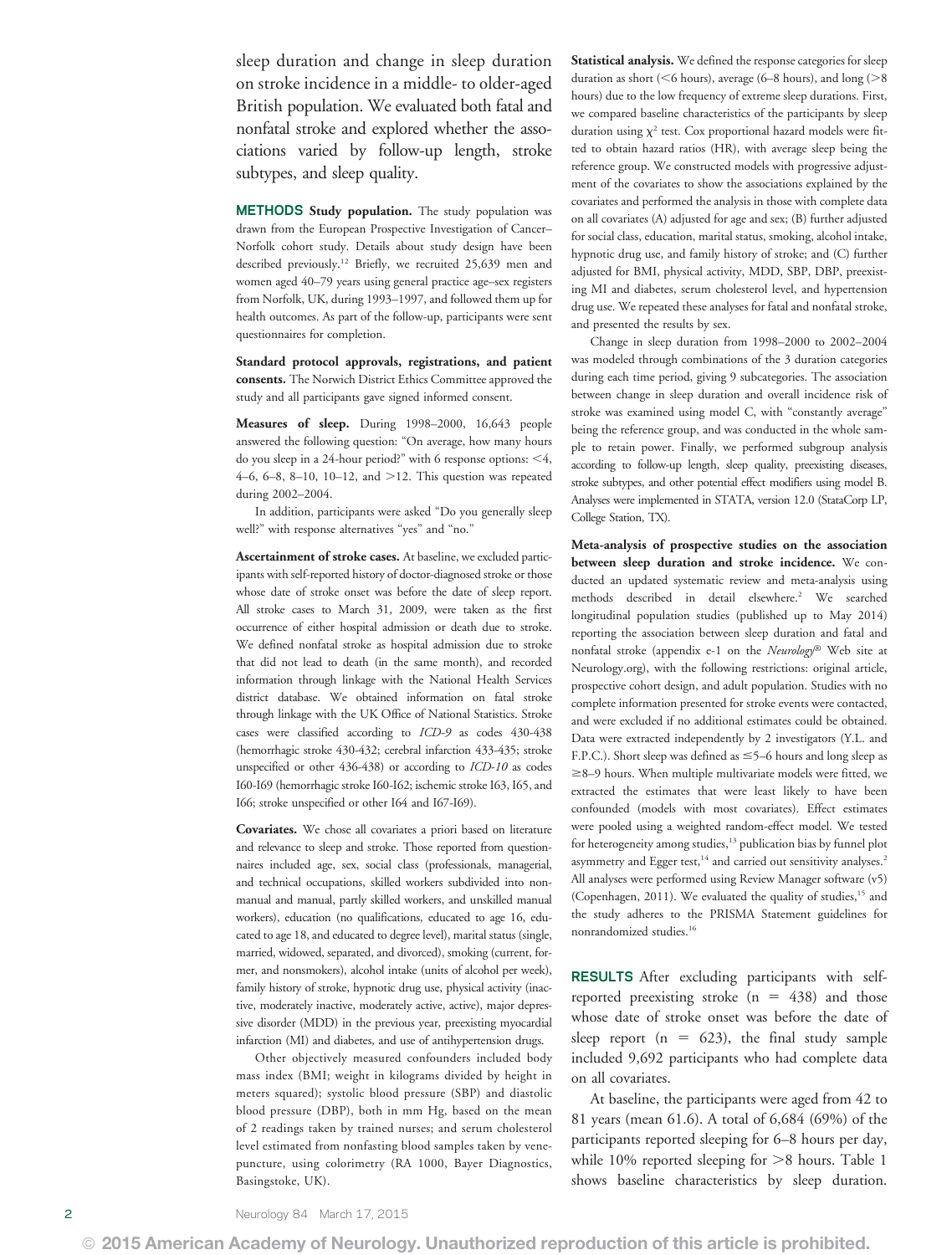sleep duration and change in sleep duration on stroke incidence in a middle- to older-aged British population. We evaluated both fatal and nonfatal stroke and explored whether the associations varied by follow-up length, stroke subtypes, and sleep quality.

METHODS Study population. The study population was drawn from the European Prospective Investigation of Cancer– Norfolk cohort study. Details about study design have been described previously.12 Briefly, we recruited 25,639 men and women aged 40–79 years using general practice age–sex registers from Norfolk, UK, during 1993–1997, and followed them up for health outcomes. As part of the follow-up, participants were sent questionnaires for completion.

Standard protocol approvals, registrations, and patient consents. The Norwich District Ethics Committee approved the study and all participants gave signed informed consent.

Measures of sleep. During 1998–2000, 16,643 people answered the following question: "On average, how many hours do you sleep in a 24-hour period?" with 6 response options:  $\leq 4$ , 4–6, 6–8, 8–10, 10–12, and  $>12$ . This question was repeated during 2002–2004.

In addition, participants were asked "Do you generally sleep well?" with response alternatives "yes" and "no."

Ascertainment of stroke cases. At baseline, we excluded participants with self-reported history of doctor-diagnosed stroke or those whose date of stroke onset was before the date of sleep report. All stroke cases to March 31, 2009, were taken as the first occurrence of either hospital admission or death due to stroke. We defined nonfatal stroke as hospital admission due to stroke that did not lead to death (in the same month), and recorded information through linkage with the National Health Services district database. We obtained information on fatal stroke through linkage with the UK Office of National Statistics. Stroke cases were classified according to ICD-9 as codes 430-438 (hemorrhagic stroke 430-432; cerebral infarction 433-435; stroke unspecified or other 436-438) or according to ICD-10 as codes I60-I69 (hemorrhagic stroke I60-I62; ischemic stroke I63, I65, and I66; stroke unspecified or other I64 and I67-I69).

Covariates. We chose all covariates a priori based on literature and relevance to sleep and stroke. Those reported from questionnaires included age, sex, social class (professionals, managerial, and technical occupations, skilled workers subdivided into nonmanual and manual, partly skilled workers, and unskilled manual workers), education (no qualifications, educated to age 16, educated to age 18, and educated to degree level), marital status (single, married, widowed, separated, and divorced), smoking (current, former, and nonsmokers), alcohol intake (units of alcohol per week), family history of stroke, hypnotic drug use, physical activity (inactive, moderately inactive, moderately active, active), major depressive disorder (MDD) in the previous year, preexisting myocardial infarction (MI) and diabetes, and use of antihypertension drugs.

Other objectively measured confounders included body mass index (BMI; weight in kilograms divided by height in meters squared); systolic blood pressure (SBP) and diastolic blood pressure (DBP), both in mm Hg, based on the mean of 2 readings taken by trained nurses; and serum cholesterol level estimated from nonfasting blood samples taken by venepuncture, using colorimetry (RA 1000, Bayer Diagnostics, Basingstoke, UK).

Statistical analysis. We defined the response categories for sleep duration as short ( $<$ 6 hours), average (6–8 hours), and long ( $>$ 8 hours) due to the low frequency of extreme sleep durations. First, we compared baseline characteristics of the participants by sleep duration using  $\chi^2$  test. Cox proportional hazard models were fitted to obtain hazard ratios (HR), with average sleep being the reference group. We constructed models with progressive adjustment of the covariates to show the associations explained by the covariates and performed the analysis in those with complete data on all covariates (A) adjusted for age and sex; (B) further adjusted for social class, education, marital status, smoking, alcohol intake, hypnotic drug use, and family history of stroke; and (C) further adjusted for BMI, physical activity, MDD, SBP, DBP, preexisting MI and diabetes, serum cholesterol level, and hypertension drug use. We repeated these analyses for fatal and nonfatal stroke, and presented the results by sex.

Change in sleep duration from 1998–2000 to 2002–2004 was modeled through combinations of the 3 duration categories during each time period, giving 9 subcategories. The association between change in sleep duration and overall incidence risk of stroke was examined using model C, with "constantly average" being the reference group, and was conducted in the whole sample to retain power. Finally, we performed subgroup analysis according to follow-up length, sleep quality, preexisting diseases, stroke subtypes, and other potential effect modifiers using model B. Analyses were implemented in STATA, version 12.0 (StataCorp LP, College Station, TX).

Meta-analysis of prospective studies on the association between sleep duration and stroke incidence. We conducted an updated systematic review and meta-analysis using methods described in detail elsewhere.2 We searched longitudinal population studies (published up to May 2014) reporting the association between sleep duration and fatal and nonfatal stroke (appendix e-1 on the Neurology® Web site at [Neurology.org\)](http://www.neurology.org/), with the following restrictions: original article, prospective cohort design, and adult population. Studies with no complete information presented for stroke events were contacted, and were excluded if no additional estimates could be obtained. Data were extracted independently by 2 investigators (Y.L. and F.P.C.). Short sleep was defined as  $\leq$  5–6 hours and long sleep as  $\geq$ 8–9 hours. When multiple multivariate models were fitted, we extracted the estimates that were least likely to have been confounded (models with most covariates). Effect estimates were pooled using a weighted random-effect model. We tested for heterogeneity among studies,<sup>13</sup> publication bias by funnel plot asymmetry and Egger test,<sup>14</sup> and carried out sensitivity analyses.<sup>2</sup> All analyses were performed using Review Manager software (v5) (Copenhagen, 2011). We evaluated the quality of studies,<sup>15</sup> and the study adheres to the PRISMA Statement guidelines for nonrandomized studies.16

RESULTS After excluding participants with selfreported preexisting stroke  $(n = 438)$  and those whose date of stroke onset was before the date of sleep report ( $n = 623$ ), the final study sample included 9,692 participants who had complete data on all covariates.

At baseline, the participants were aged from 42 to 81 years (mean 61.6). A total of 6,684 (69%) of the participants reported sleeping for 6–8 hours per day, while 10% reported sleeping for  $>8$  hours. Table 1 shows baseline characteristics by sleep duration.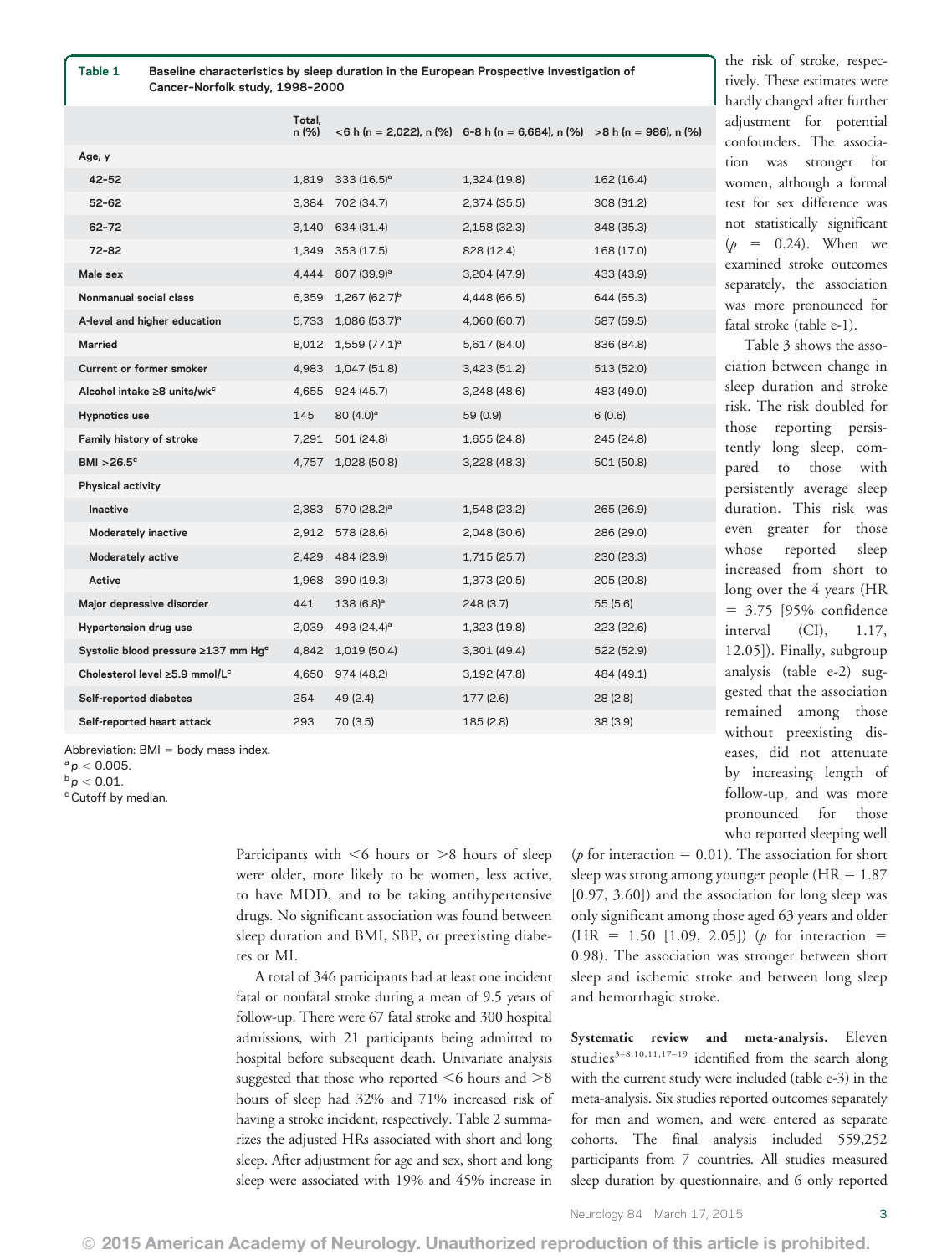| Cancer-Norfolk study, 1998-2000                       |                 |                             |                                                                        |            |
|-------------------------------------------------------|-----------------|-----------------------------|------------------------------------------------------------------------|------------|
|                                                       | Total.<br>n (%) |                             | <6 h (n = 2,022), n (%) 6-8 h (n = 6,684), n (%) >8 h (n = 986), n (%) |            |
| Age, y                                                |                 |                             |                                                                        |            |
| 42-52                                                 | 1,819           | $333(16.5)^a$               | 1,324 (19.8)                                                           | 162 (16.4) |
| $52 - 62$                                             | 3,384           | 702 (34.7)                  | 2,374 (35.5)                                                           | 308 (31.2) |
| 62-72                                                 | 3,140           | 634 (31.4)                  | 2,158 (32.3)                                                           | 348 (35.3) |
| 72-82                                                 | 1,349           | 353 (17.5)                  | 828 (12.4)                                                             | 168 (17.0) |
| Male sex                                              | 4,444           | 807 (39.9) <sup>a</sup>     | 3,204 (47.9)                                                           | 433 (43.9) |
| Nonmanual social class                                | 6,359           | $1,267$ (62.7) <sup>b</sup> | 4,448 (66.5)                                                           | 644 (65.3) |
| A-level and higher education                          | 5,733           | $1,086$ (53.7) <sup>a</sup> | 4,060 (60.7)                                                           | 587 (59.5) |
| Married                                               | 8,012           | $1,559(77.1)^a$             | 5,617 (84.0)                                                           | 836 (84.8) |
| Current or former smoker                              | 4,983           | 1,047(51.8)                 | 3,423(51.2)                                                            | 513 (52.0) |
| Alcohol intake ≥8 units/wk <sup>c</sup>               | 4,655           | 924 (45.7)                  | 3,248 (48.6)                                                           | 483 (49.0) |
| <b>Hypnotics use</b>                                  | 145             | 80 (4.0) <sup>a</sup>       | 59 (0.9)                                                               | 6(0.6)     |
| Family history of stroke                              | 7,291           | 501 (24.8)                  | 1,655 (24.8)                                                           | 245 (24.8) |
| BMI $>26.5^{\circ}$                                   | 4,757           | 1,028 (50.8)                | 3,228 (48.3)                                                           | 501 (50.8) |
| Physical activity                                     |                 |                             |                                                                        |            |
| Inactive                                              | 2,383           | 570 (28.2) <sup>a</sup>     | 1,548 (23.2)                                                           | 265 (26.9) |
| <b>Moderately inactive</b>                            | 2,912           | 578 (28.6)                  | 2,048 (30.6)                                                           | 286 (29.0) |
| <b>Moderately active</b>                              | 2,429           | 484 (23.9)                  | 1,715 (25.7)                                                           | 230 (23.3) |
| Active                                                | 1,968           | 390 (19.3)                  | 1,373 (20.5)                                                           | 205 (20.8) |
| Major depressive disorder                             | 441             | $138(6.8)^a$                | 248 (3.7)                                                              | 55 (5.6)   |
| Hypertension drug use                                 | 2,039           | 493 (24.4) <sup>a</sup>     | 1,323 (19.8)                                                           | 223 (22.6) |
| Systolic blood pressure $\geq$ 137 mm Hg <sup>c</sup> | 4,842           | 1,019 (50.4)                | 3,301 (49.4)                                                           | 522 (52.9) |
| Cholesterol level ≥5.9 mmol/L <sup>c</sup>            | 4,650           | 974 (48.2)                  | 3,192 (47.8)                                                           | 484 (49.1) |
| Self-reported diabetes                                | 254             | 49 (2.4)                    | 177(2.6)                                                               | 28 (2.8)   |
| Self-reported heart attack                            | 293             | 70 (3.5)                    | 185 (2.8)                                                              | 38 (3.9)   |
|                                                       |                 |                             |                                                                        |            |

Abbreviation:  $BMI = body$  mass index.

 $a$   $p$  < 0.005.

 $^{\rm b}p <$  0.01.

<sup>c</sup> Cutoff by median.

Participants with  $<6$  hours or  $>8$  hours of sleep were older, more likely to be women, less active, to have MDD, and to be taking antihypertensive drugs. No significant association was found between sleep duration and BMI, SBP, or preexisting diabetes or MI.

A total of 346 participants had at least one incident fatal or nonfatal stroke during a mean of 9.5 years of follow-up. There were 67 fatal stroke and 300 hospital admissions, with 21 participants being admitted to hospital before subsequent death. Univariate analysis suggested that those who reported  $\leq 6$  hours and  $\geq 8$ hours of sleep had 32% and 71% increased risk of having a stroke incident, respectively. Table 2 summarizes the adjusted HRs associated with short and long sleep. After adjustment for age and sex, short and long sleep were associated with 19% and 45% increase in

( $\phi$  for interaction = 0.01). The association for short sleep was strong among younger people ( $HR = 1.87$ [0.97, 3.60]) and the association for long sleep was only significant among those aged 63 years and older (HR = 1.50 [1.09, 2.05]) ( $\phi$  for interaction = 0.98). The association was stronger between short sleep and ischemic stroke and between long sleep and hemorrhagic stroke.

Systematic review and meta-analysis. Eleven studies $3-8,10,11,17-19$  identified from the search along with the current study were included (table e-3) in the meta-analysis. Six studies reported outcomes separately for men and women, and were entered as separate cohorts. The final analysis included 559,252 participants from 7 countries. All studies measured sleep duration by questionnaire, and 6 only reported

Table 1 Baseline characteristics by sleep duration in the European Prospective Investigation of

the risk of stroke, respectively. These estimates were hardly changed after further adjustment for potential confounders. The association was stronger for women, although a formal test for sex difference was not statistically significant  $(p = 0.24)$ . When we examined stroke outcomes separately, the association was more pronounced for fatal stroke (table e-1).

Table 3 shows the association between change in sleep duration and stroke risk. The risk doubled for those reporting persistently long sleep, compared to those with persistently average sleep duration. This risk was even greater for those whose reported sleep increased from short to long over the 4 years (HR  $= 3.75$  [95% confidence interval (CI), 1.17, 12.05]). Finally, subgroup analysis (table e-2) suggested that the association remained among those without preexisting diseases, did not attenuate by increasing length of follow-up, and was more pronounced for those who reported sleeping well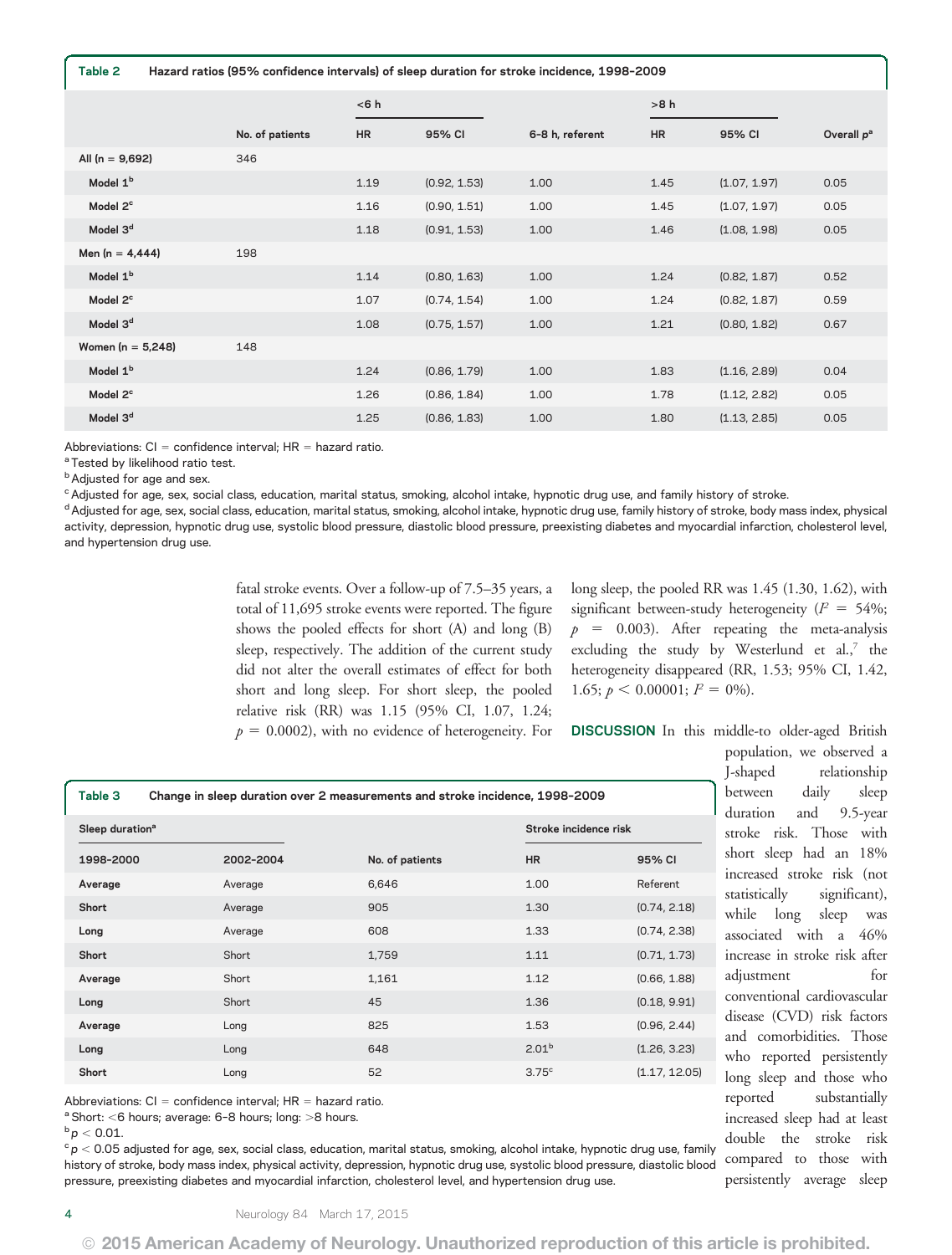Table 2 Hazard ratios (95% confidence intervals) of sleep duration for stroke incidence, 1998–2009

|                       |                 | < 6 h     |              |                 | >8 h      |              |                        |
|-----------------------|-----------------|-----------|--------------|-----------------|-----------|--------------|------------------------|
|                       | No. of patients | <b>HR</b> | 95% CI       | 6-8 h, referent | <b>HR</b> | 95% CI       | Overall p <sup>a</sup> |
| All ( $n = 9,692$ )   | 346             |           |              |                 |           |              |                        |
| Model 1 <sup>b</sup>  |                 | 1.19      | (0.92, 1.53) | 1.00            | 1.45      | (1.07, 1.97) | 0.05                   |
| Model 2 <sup>c</sup>  |                 | 1.16      | (0.90, 1.51) | 1.00            | 1.45      | (1.07, 1.97) | 0.05                   |
| Model 3 <sup>d</sup>  |                 | 1.18      | (0.91, 1.53) | 1.00            | 1.46      | (1.08, 1.98) | 0.05                   |
| Men ( $n = 4,444$ )   | 198             |           |              |                 |           |              |                        |
| Model 1 <sup>b</sup>  |                 | 1.14      | (0.80, 1.63) | 1.00            | 1.24      | (0.82, 1.87) | 0.52                   |
| Model 2 <sup>c</sup>  |                 | 1.07      | (0.74, 1.54) | 1.00            | 1.24      | (0.82, 1.87) | 0.59                   |
| Model 3 <sup>d</sup>  |                 | 1.08      | (0.75, 1.57) | 1.00            | 1.21      | (0.80, 1.82) | 0.67                   |
| Women ( $n = 5,248$ ) | 148             |           |              |                 |           |              |                        |
| Model 1 <sup>b</sup>  |                 | 1.24      | (0.86, 1.79) | 1.00            | 1.83      | (1.16, 2.89) | 0.04                   |
| Model 2 <sup>c</sup>  |                 | 1.26      | (0.86, 1.84) | 1.00            | 1.78      | (1.12, 2.82) | 0.05                   |
| Model 3 <sup>d</sup>  |                 | 1.25      | (0.86, 1.83) | 1.00            | 1.80      | (1.13, 2.85) | 0.05                   |

Abbreviations:  $CI = confidence$  interval;  $HR = hazard$  ratio.

a Tested by likelihood ratio test.

**b** Adjusted for age and sex.

<sup>c</sup> Adjusted for age, sex, social class, education, marital status, smoking, alcohol intake, hypnotic drug use, and family history of stroke.

<sup>d</sup> Adjusted for age, sex, social class, education, marital status, smoking, alcohol intake, hypnotic drug use, family history of stroke, body mass index, physical activity, depression, hypnotic drug use, systolic blood pressure, diastolic blood pressure, preexisting diabetes and myocardial infarction, cholesterol level, and hypertension drug use

> fatal stroke events. Over a follow-up of 7.5–35 years, a total of 11,695 stroke events were reported. The figure shows the pooled effects for short (A) and long (B) sleep, respectively. The addition of the current study did not alter the overall estimates of effect for both short and long sleep. For short sleep, the pooled relative risk (RR) was 1.15 (95% CI, 1.07, 1.24;  $p = 0.0002$ ), with no evidence of heterogeneity. For

long sleep, the pooled RR was 1.45 (1.30, 1.62), with significant between-study heterogeneity ( $I^2 = 54\%$ ;  $p = 0.003$ . After repeating the meta-analysis excluding the study by Westerlund et al.,7 the heterogeneity disappeared (RR, 1.53; 95% CI, 1.42, 1.65;  $p < 0.00001$ ;  $P = 0\%$ ).

DISCUSSION In this middle-to older-aged British

|                             |                                 |                                                                              |                       |               | J-shaped<br>relationship                                     |
|-----------------------------|---------------------------------|------------------------------------------------------------------------------|-----------------------|---------------|--------------------------------------------------------------|
| Table 3                     |                                 | Change in sleep duration over 2 measurements and stroke incidence, 1998-2009 |                       |               | daily<br>sleep<br>between                                    |
| Sleep duration <sup>a</sup> |                                 |                                                                              | Stroke incidence risk |               | duration<br>9.5-year<br>and<br>stroke risk.<br>Those with    |
| 1998-2000                   | 2002-2004                       | No. of patients                                                              | <b>HR</b>             | 95% CI        | short sleep had an 18%                                       |
| Average                     | Average                         | 6,646                                                                        | 1.00                  | Referent      | increased stroke risk (not<br>significant),<br>statistically |
| Short                       | Average                         | 905                                                                          | 1.30                  | (0.74, 2.18)  | while<br>long<br>sleep<br>was                                |
| Long                        | Average                         | 608                                                                          | 1.33                  | (0.74, 2.38)  | associated with<br>46%<br>a.                                 |
| Short                       | Short                           | 1,759                                                                        | 1.11                  | (0.71, 1.73)  | increase in stroke risk after                                |
| Average                     | Short                           | 1,161                                                                        | 1.12                  | (0.66, 1.88)  | adjustment<br>for                                            |
| Long                        | Short                           | 45                                                                           | 1.36                  | (0.18, 9.91)  | conventional cardiovascular                                  |
| Average                     | Long                            | 825                                                                          | 1.53                  | (0.96, 2.44)  | disease (CVD) risk factors<br>and comorbidities. Those       |
| Long                        | Long                            | 648                                                                          | 2.01 <sup>b</sup>     | (1.26, 3.23)  | who reported persistently                                    |
| Short                       | Long                            | 52                                                                           | 3.75 <sup>c</sup>     | (1.17, 12.05) | long sleep and those who                                     |
|                             | <b>State Street</b><br>$\cdots$ |                                                                              |                       |               | cubetantially<br>reported                                    |

Abbreviations:  $Cl =$  confidence interval: HR = hazard ratio.

<sup>a</sup> Short: <6 hours; average: 6-8 hours; long: >8 hours.

 $^{\rm b}p <$  0.01.

 $c$   $\circ$  0.05 adjusted for age, sex, social class, education, marital status, smoking, alcohol intake, hypnotic drug use, family history of stroke, body mass index, physical activity, depression, hypnotic drug use, systolic blood pressure, diastolic blood pressure, preexisting diabetes and myocardial infarction, cholesterol level, and hypertension drug use.

ased stroke risk (not tically significant), long sleep was iated with a 46% ase in stroke risk after atment for entional cardiovascular se (CVD) risk factors comorbidities. Those reported persistently sleep and those who reported substantially increased sleep had at least double the stroke risk compared to those with persistently average sleep

population, we observed a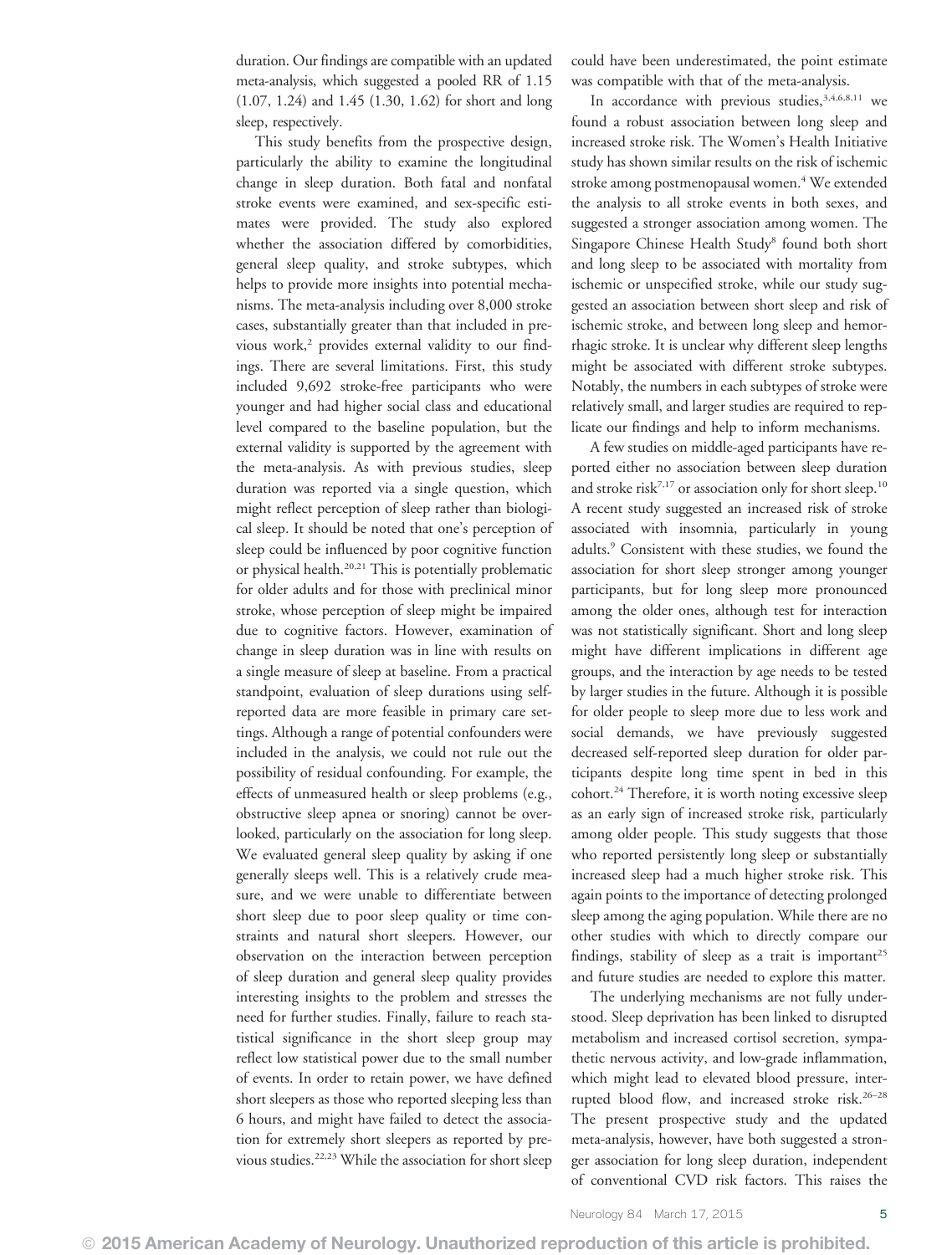duration. Our findings are compatible with an updated meta-analysis, which suggested a pooled RR of 1.15 (1.07, 1.24) and 1.45 (1.30, 1.62) for short and long sleep, respectively.

This study benefits from the prospective design, particularly the ability to examine the longitudinal change in sleep duration. Both fatal and nonfatal stroke events were examined, and sex-specific estimates were provided. The study also explored whether the association differed by comorbidities, general sleep quality, and stroke subtypes, which helps to provide more insights into potential mechanisms. The meta-analysis including over 8,000 stroke cases, substantially greater than that included in previous work,<sup>2</sup> provides external validity to our findings. There are several limitations. First, this study included 9,692 stroke-free participants who were younger and had higher social class and educational level compared to the baseline population, but the external validity is supported by the agreement with the meta-analysis. As with previous studies, sleep duration was reported via a single question, which might reflect perception of sleep rather than biological sleep. It should be noted that one's perception of sleep could be influenced by poor cognitive function or physical health.20,21 This is potentially problematic for older adults and for those with preclinical minor stroke, whose perception of sleep might be impaired due to cognitive factors. However, examination of change in sleep duration was in line with results on a single measure of sleep at baseline. From a practical standpoint, evaluation of sleep durations using selfreported data are more feasible in primary care settings. Although a range of potential confounders were included in the analysis, we could not rule out the possibility of residual confounding. For example, the effects of unmeasured health or sleep problems (e.g., obstructive sleep apnea or snoring) cannot be overlooked, particularly on the association for long sleep. We evaluated general sleep quality by asking if one generally sleeps well. This is a relatively crude measure, and we were unable to differentiate between short sleep due to poor sleep quality or time constraints and natural short sleepers. However, our observation on the interaction between perception of sleep duration and general sleep quality provides interesting insights to the problem and stresses the need for further studies. Finally, failure to reach statistical significance in the short sleep group may reflect low statistical power due to the small number of events. In order to retain power, we have defined short sleepers as those who reported sleeping less than 6 hours, and might have failed to detect the association for extremely short sleepers as reported by previous studies.22,23 While the association for short sleep

could have been underestimated, the point estimate was compatible with that of the meta-analysis.

In accordance with previous studies, 3,4,6,8,11 we found a robust association between long sleep and increased stroke risk. The Women's Health Initiative study has shown similar results on the risk of ischemic stroke among postmenopausal women.<sup>4</sup> We extended the analysis to all stroke events in both sexes, and suggested a stronger association among women. The Singapore Chinese Health Study<sup>8</sup> found both short and long sleep to be associated with mortality from ischemic or unspecified stroke, while our study suggested an association between short sleep and risk of ischemic stroke, and between long sleep and hemorrhagic stroke. It is unclear why different sleep lengths might be associated with different stroke subtypes. Notably, the numbers in each subtypes of stroke were relatively small, and larger studies are required to replicate our findings and help to inform mechanisms.

A few studies on middle-aged participants have reported either no association between sleep duration and stroke risk<sup>7,17</sup> or association only for short sleep.<sup>10</sup> A recent study suggested an increased risk of stroke associated with insomnia, particularly in young adults.9 Consistent with these studies, we found the association for short sleep stronger among younger participants, but for long sleep more pronounced among the older ones, although test for interaction was not statistically significant. Short and long sleep might have different implications in different age groups, and the interaction by age needs to be tested by larger studies in the future. Although it is possible for older people to sleep more due to less work and social demands, we have previously suggested decreased self-reported sleep duration for older participants despite long time spent in bed in this cohort.24 Therefore, it is worth noting excessive sleep as an early sign of increased stroke risk, particularly among older people. This study suggests that those who reported persistently long sleep or substantially increased sleep had a much higher stroke risk. This again points to the importance of detecting prolonged sleep among the aging population. While there are no other studies with which to directly compare our findings, stability of sleep as a trait is important<sup>25</sup> and future studies are needed to explore this matter.

The underlying mechanisms are not fully understood. Sleep deprivation has been linked to disrupted metabolism and increased cortisol secretion, sympathetic nervous activity, and low-grade inflammation, which might lead to elevated blood pressure, interrupted blood flow, and increased stroke risk.26–<sup>28</sup> The present prospective study and the updated meta-analysis, however, have both suggested a stronger association for long sleep duration, independent of conventional CVD risk factors. This raises the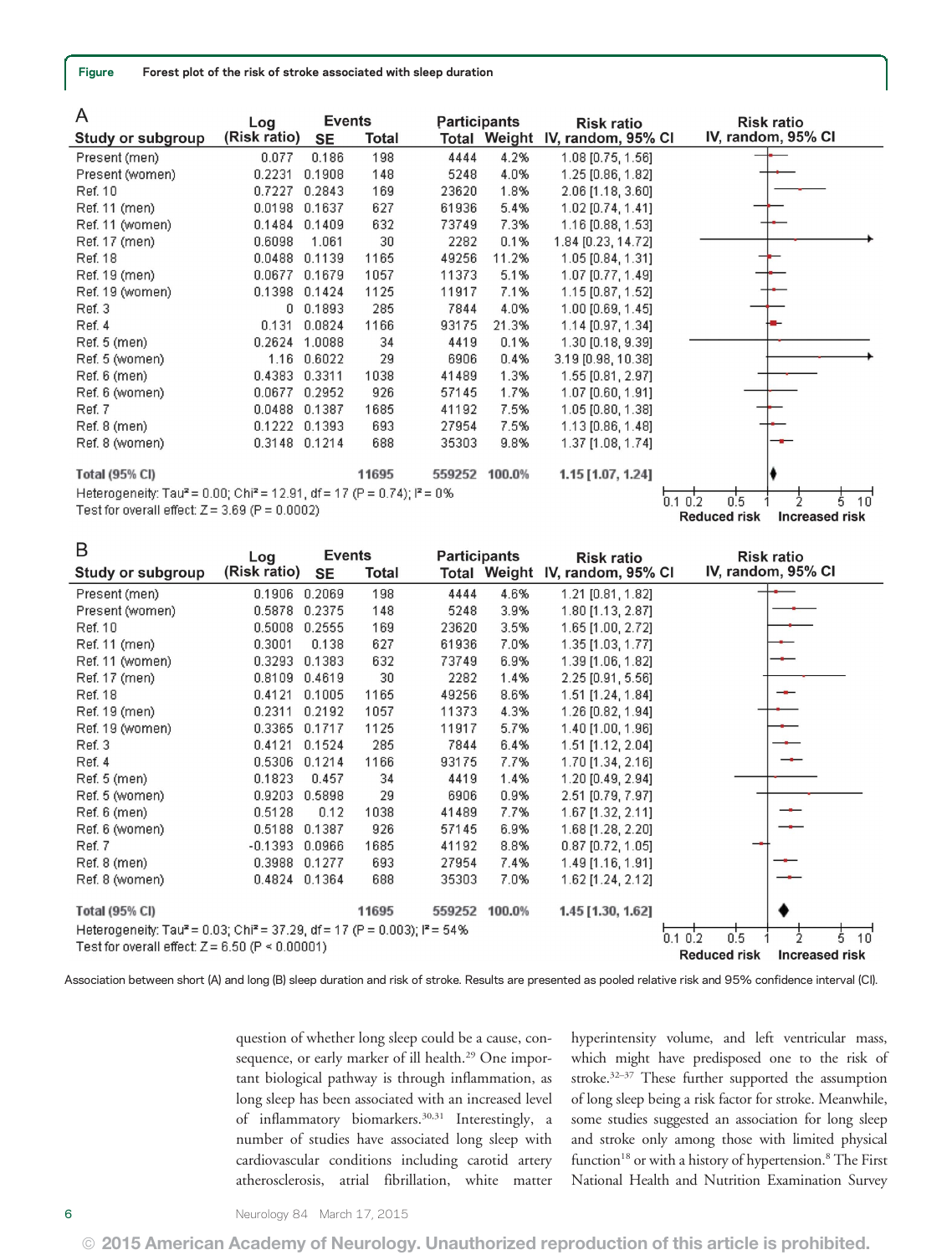| Figure | Forest plot of the risk of stroke associated with sleep duration |  |  |  |
|--------|------------------------------------------------------------------|--|--|--|
|--------|------------------------------------------------------------------|--|--|--|

| A                                                                                               | Log          | <b>Events</b> |       | <b>Participants</b> |        | <b>Risk ratio</b>   | <b>Risk ratio</b>                                                       |
|-------------------------------------------------------------------------------------------------|--------------|---------------|-------|---------------------|--------|---------------------|-------------------------------------------------------------------------|
| <b>Study or subgroup</b>                                                                        | (Risk ratio) | <b>SE</b>     | Total | Total               | Weight | IV, random, 95% CI  | IV, random, 95% CI                                                      |
| Present (men)                                                                                   | 0.077        | 0.186         | 198   | 4444                | 4.2%   | 1.08 [0.75, 1.56]   |                                                                         |
| Present (women)                                                                                 | 0.2231       | 0.1908        | 148   | 5248                | 4.0%   | 1.25 [0.86, 1.82]   |                                                                         |
| Ref. 10                                                                                         | 0.7227       | 0.2843        | 169   | 23620               | 1.8%   | 2.06 [1.18, 3.60]   |                                                                         |
| Ref. 11 (men)                                                                                   | 0.0198       | 0.1637        | 627   | 61936               | 5.4%   | 1.02 [0.74, 1.41]   |                                                                         |
| Ref. 11 (women)                                                                                 | 0.1484       | 0.1409        | 632   | 73749               | 7.3%   | 1.16 [0.88, 1.53]   |                                                                         |
| Ref. 17 (men)                                                                                   | 0.6098       | 1.061         | 30    | 2282                | 0.1%   | 1.84 [0.23, 14.72]  |                                                                         |
| Ref. 18                                                                                         | 0.0488       | 0.1139        | 1165  | 49256               | 11.2%  | 1.05 [0.84, 1.31]   |                                                                         |
| Ref. 19 (men)                                                                                   | 0.0677       | 0.1679        | 1057  | 11373               | 5.1%   | 1.07 [0.77, 1.49]   |                                                                         |
| Ref. 19 (women)                                                                                 | 0.1398       | 0.1424        | 1125  | 11917               | 7.1%   | 1.15 [0.87, 1.52]   |                                                                         |
| Ref. 3                                                                                          | 0            | 0.1893        | 285   | 7844                | 4.0%   | 1.00 [0.69, 1.45]   |                                                                         |
| Ref. 4                                                                                          | 0.131        | 0.0824        | 1166  | 93175               | 21.3%  | $1.14$ [0.97, 1.34] |                                                                         |
| Ref. 5 (men)                                                                                    | 0.2624       | 1.0088        | 34    | 4419                | 0.1%   | 1.30 [0.18, 9.39]   |                                                                         |
| Ref. 5 (women)                                                                                  | 1.16         | 0.6022        | 29    | 6906                | 0.4%   | 3.19 [0.98, 10.38]  |                                                                         |
| Ref. 6 (men)                                                                                    | 0.4383       | 0.3311        | 1038  | 41489               | 1.3%   | 1.55 [0.81, 2.97]   |                                                                         |
| Ref. 6 (women)                                                                                  | 0.0677       | 0.2952        | 926   | 57145               | 1.7%   | 1.07 [0.60, 1.91]   |                                                                         |
| Ref. 7                                                                                          | 0.0488       | 0.1387        | 1685  | 41192               | 7.5%   | 1.05 [0.80, 1.38]   |                                                                         |
| Ref. 8 (men)                                                                                    | 0.1222       | 0.1393        | 693   | 27954               | 7.5%   | 1.13 [0.86, 1.48]   |                                                                         |
| Ref. 8 (women)                                                                                  |              | 0.3148 0.1214 | 688   | 35303               | 9.8%   | 1.37 [1.08, 1.74]   |                                                                         |
| <b>Total (95% CI)</b>                                                                           |              |               | 11695 | 559252              | 100.0% | 1.15 [1.07, 1.24]   |                                                                         |
| Heterogeneity: Tau <sup>2</sup> = 0.00; Chi <sup>2</sup> = 12.91, df = 17 (P = 0.74); $P = 0\%$ |              |               |       |                     |        |                     |                                                                         |
| Test for overall effect: $Z = 3.69$ (P = 0.0002)                                                |              |               |       |                     |        |                     | 0.5<br>$0.1\,0.2$<br>10<br><b>Reduced risk</b><br><b>Increased risk</b> |
|                                                                                                 |              |               |       |                     |        |                     |                                                                         |

| В                                                                                                           | Log          | <b>Events</b> |       | <b>Participants</b> |        | <b>Risk ratio</b>               | <b>Risk ratio</b>                            |
|-------------------------------------------------------------------------------------------------------------|--------------|---------------|-------|---------------------|--------|---------------------------------|----------------------------------------------|
| <b>Study or subgroup</b>                                                                                    | (Risk ratio) | <b>SE</b>     | Total |                     |        | Total Weight IV, random, 95% CI | IV, random, 95% CI                           |
| Present (men)                                                                                               | 0.1906       | 0.2069        | 198   | 4444                | 4.6%   | 1.21 [0.81, 1.82]               |                                              |
| Present (women)                                                                                             | 0.5878       | 0.2375        | 148   | 5248                | 3.9%   | 1.80 [1.13, 2.87]               |                                              |
| Ref. 10                                                                                                     | 0.5008       | 0.2555        | 169   | 23620               | 3.5%   | 1.65 [1.00, 2.72]               |                                              |
| Ref. 11 (men)                                                                                               | 0.3001       | 0.138         | 627   | 61936               | 7.0%   | 1.35 [1.03, 1.77]               |                                              |
| Ref. 11 (women)                                                                                             | 0.3293       | 0.1383        | 632   | 73749               | 6.9%   | 1.39 [1.06, 1.82]               |                                              |
| Ref. 17 (men)                                                                                               | 0.8109       | 0.4619        | 30    | 2282                | 1.4%   | 2.25 [0.91, 5.56]               |                                              |
| Ref. 18                                                                                                     | 0.4121       | 0.1005        | 1165  | 49256               | 8.6%   | 1.51 [1.24, 1.84]               |                                              |
| Ref. 19 (men)                                                                                               | 0.2311       | 0.2192        | 1057  | 11373               | 4.3%   | 1.26 [0.82, 1.94]               |                                              |
| Ref. 19 (women)                                                                                             | 0.3365       | 0.1717        | 1125  | 11917               | 5.7%   | 1.40 [1.00, 1.96]               |                                              |
| Ref. 3                                                                                                      | 0.4121       | 0.1524        | 285   | 7844                | 6.4%   | 1.51 [1.12, 2.04]               |                                              |
| Ref. 4                                                                                                      | 0.5306       | 0.1214        | 1166  | 93175               | 7.7%   | 1.70 [1.34, 2.16]               |                                              |
| Ref. 5 (men)                                                                                                | 0.1823       | 0.457         | 34    | 4419                | 1.4%   | 1.20 [0.49, 2.94]               |                                              |
| Ref. 5 (women)                                                                                              | 0.9203       | 0.5898        | 29    | 6906                | 0.9%   | 2.51 [0.79, 7.97]               |                                              |
| Ref. 6 (men)                                                                                                | 0.5128       | 0.12          | 1038  | 41489               | 7.7%   | 1.67 [1.32, 2.11]               |                                              |
| Ref. 6 (women)                                                                                              | 0.5188       | 0.1387        | 926   | 57145               | 6.9%   | 1.68 [1.28, 2.20]               |                                              |
| Ref. 7                                                                                                      | $-0.1393$    | 0.0966        | 1685  | 41192               | 8.8%   | $0.87$ [0.72, 1.05]             |                                              |
| Ref. 8 (men)                                                                                                | 0.3988       | 0.1277        | 693   | 27954               | 7.4%   | 1.49 [1.16, 1.91]               |                                              |
| Ref. 8 (women)                                                                                              | 0.4824       | 0.1364        | 688   | 35303               | 7.0%   | 1.62 [1.24, 2.12]               |                                              |
| <b>Total (95% CI)</b>                                                                                       |              |               | 11695 | 559252              | 100.0% | 1.45 [1.30, 1.62]               |                                              |
| Heterogeneity: Tau <sup>2</sup> = 0.03; Chi <sup>2</sup> = 37.29, df = 17 (P = 0.003); l <sup>2</sup> = 54% |              |               |       |                     |        |                                 | $0.1\,0.2$<br>0.5<br>10<br>5.                |
| Test for overall effect: $Z = 6.50$ (P < 0.00001)                                                           |              |               |       |                     |        |                                 | <b>Reduced risk</b><br><b>Increased risk</b> |

Association between short (A) and long (B) sleep duration and risk of stroke. Results are presented as pooled relative risk and 95% confidence interval (CI).

question of whether long sleep could be a cause, consequence, or early marker of ill health.<sup>29</sup> One important biological pathway is through inflammation, as long sleep has been associated with an increased level of inflammatory biomarkers.30,31 Interestingly, a number of studies have associated long sleep with cardiovascular conditions including carotid artery atherosclerosis, atrial fibrillation, white matter hyperintensity volume, and left ventricular mass, which might have predisposed one to the risk of stroke.32–<sup>37</sup> These further supported the assumption of long sleep being a risk factor for stroke. Meanwhile, some studies suggested an association for long sleep and stroke only among those with limited physical function<sup>18</sup> or with a history of hypertension.<sup>8</sup> The First National Health and Nutrition Examination Survey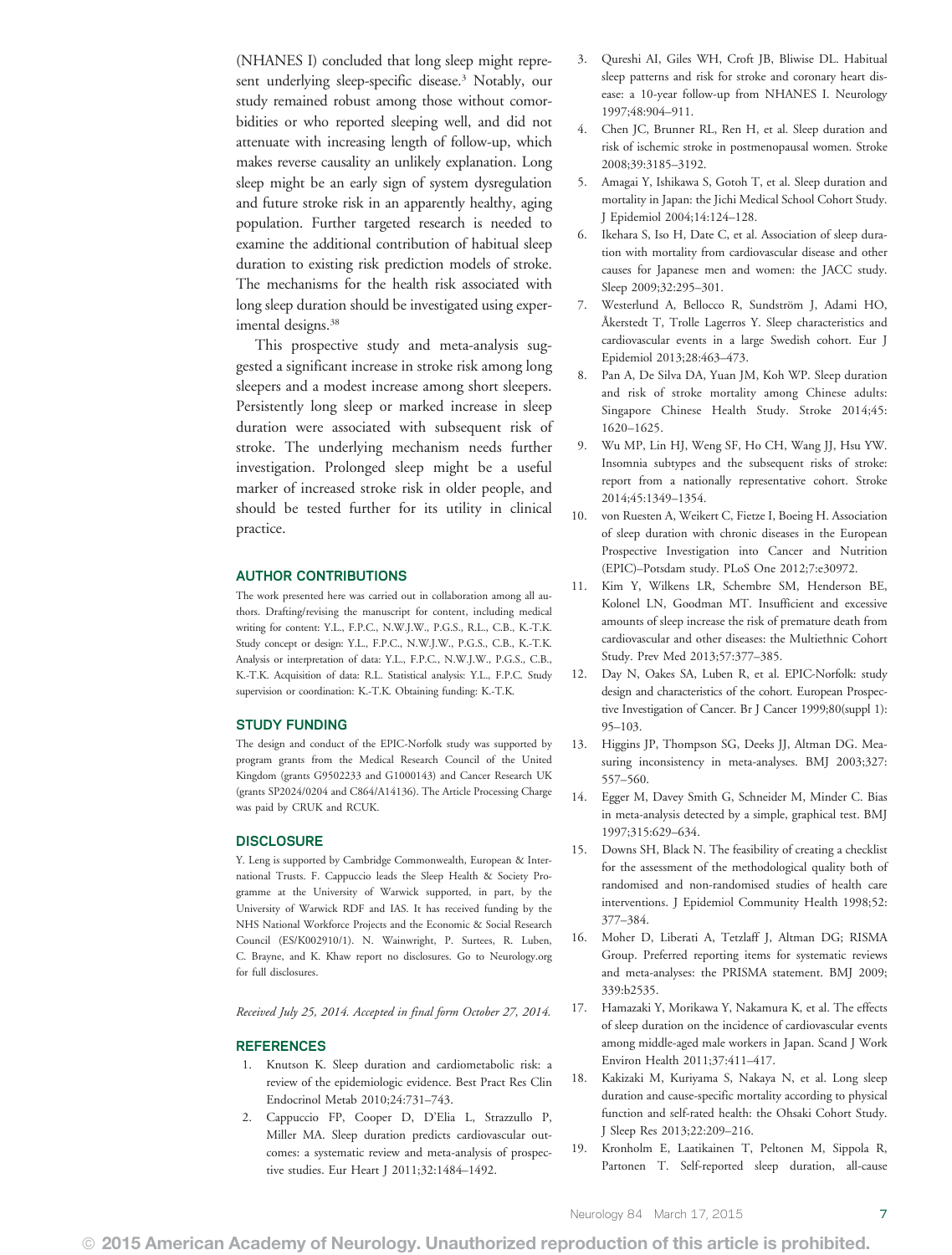(NHANES I) concluded that long sleep might represent underlying sleep-specific disease.<sup>3</sup> Notably, our study remained robust among those without comorbidities or who reported sleeping well, and did not attenuate with increasing length of follow-up, which makes reverse causality an unlikely explanation. Long sleep might be an early sign of system dysregulation and future stroke risk in an apparently healthy, aging population. Further targeted research is needed to examine the additional contribution of habitual sleep duration to existing risk prediction models of stroke. The mechanisms for the health risk associated with long sleep duration should be investigated using experimental designs.<sup>38</sup>

This prospective study and meta-analysis suggested a significant increase in stroke risk among long sleepers and a modest increase among short sleepers. Persistently long sleep or marked increase in sleep duration were associated with subsequent risk of stroke. The underlying mechanism needs further investigation. Prolonged sleep might be a useful marker of increased stroke risk in older people, and should be tested further for its utility in clinical practice.

#### AUTHOR CONTRIBUTIONS

The work presented here was carried out in collaboration among all authors. Drafting/revising the manuscript for content, including medical writing for content: Y.L., F.P.C., N.W.J.W., P.G.S., R.L., C.B., K.-T.K. Study concept or design: Y.L., F.P.C., N.W.J.W., P.G.S., C.B., K.-T.K. Analysis or interpretation of data: Y.L., F.P.C., N.W.J.W., P.G.S., C.B., K.-T.K. Acquisition of data: R.L. Statistical analysis: Y.L., F.P.C. Study supervision or coordination: K.-T.K. Obtaining funding: K.-T.K.

# STUDY FUNDING

The design and conduct of the EPIC-Norfolk study was supported by program grants from the Medical Research Council of the United Kingdom (grants G9502233 and G1000143) and Cancer Research UK (grants SP2024/0204 and C864/A14136). The Article Processing Charge was paid by CRUK and RCUK.

# **DISCLOSURE**

Y. Leng is supported by Cambridge Commonwealth, European & International Trusts. F. Cappuccio leads the Sleep Health & Society Programme at the University of Warwick supported, in part, by the University of Warwick RDF and IAS. It has received funding by the NHS National Workforce Projects and the Economic & Social Research Council (ES/K002910/1). N. Wainwright, P. Surtees, R. Luben, C. Brayne, and K. Khaw report no disclosures. Go to [Neurology.org](http://neurology.org/) for full disclosures.

Received July 25, 2014. Accepted in final form October 27, 2014.

### **REFERENCES**

- 1. Knutson K. Sleep duration and cardiometabolic risk: a review of the epidemiologic evidence. Best Pract Res Clin Endocrinol Metab 2010;24:731–743.
- 2. Cappuccio FP, Cooper D, D'Elia L, Strazzullo P, Miller MA. Sleep duration predicts cardiovascular outcomes: a systematic review and meta-analysis of prospective studies. Eur Heart J 2011;32:1484–1492.
- 3. Qureshi AI, Giles WH, Croft JB, Bliwise DL. Habitual sleep patterns and risk for stroke and coronary heart disease: a 10-year follow-up from NHANES I. Neurology 1997;48:904–911.
- 4. Chen JC, Brunner RL, Ren H, et al. Sleep duration and risk of ischemic stroke in postmenopausal women. Stroke 2008;39:3185–3192.
- 5. Amagai Y, Ishikawa S, Gotoh T, et al. Sleep duration and mortality in Japan: the Jichi Medical School Cohort Study. J Epidemiol 2004;14:124–128.
- 6. Ikehara S, Iso H, Date C, et al. Association of sleep duration with mortality from cardiovascular disease and other causes for Japanese men and women: the JACC study. Sleep 2009;32:295–301.
- 7. Westerlund A, Bellocco R, Sundström J, Adami HO, Åkerstedt T, Trolle Lagerros Y. Sleep characteristics and cardiovascular events in a large Swedish cohort. Eur J Epidemiol 2013;28:463–473.
- 8. Pan A, De Silva DA, Yuan JM, Koh WP. Sleep duration and risk of stroke mortality among Chinese adults: Singapore Chinese Health Study. Stroke 2014;45: 1620–1625.
- 9. Wu MP, Lin HJ, Weng SF, Ho CH, Wang JJ, Hsu YW. Insomnia subtypes and the subsequent risks of stroke: report from a nationally representative cohort. Stroke 2014;45:1349–1354.
- 10. von Ruesten A, Weikert C, Fietze I, Boeing H. Association of sleep duration with chronic diseases in the European Prospective Investigation into Cancer and Nutrition (EPIC)–Potsdam study. PLoS One 2012;7:e30972.
- 11. Kim Y, Wilkens LR, Schembre SM, Henderson BE, Kolonel LN, Goodman MT. Insufficient and excessive amounts of sleep increase the risk of premature death from cardiovascular and other diseases: the Multiethnic Cohort Study. Prev Med 2013;57:377–385.
- 12. Day N, Oakes SA, Luben R, et al. EPIC-Norfolk: study design and characteristics of the cohort. European Prospective Investigation of Cancer. Br J Cancer 1999;80(suppl 1): 95–103.
- 13. Higgins JP, Thompson SG, Deeks JJ, Altman DG. Measuring inconsistency in meta-analyses. BMJ 2003;327: 557–560.
- 14. Egger M, Davey Smith G, Schneider M, Minder C. Bias in meta-analysis detected by a simple, graphical test. BMJ 1997;315:629–634.
- 15. Downs SH, Black N. The feasibility of creating a checklist for the assessment of the methodological quality both of randomised and non-randomised studies of health care interventions. J Epidemiol Community Health 1998;52: 377–384.
- 16. Moher D, Liberati A, Tetzlaff J, Altman DG; RISMA Group. Preferred reporting items for systematic reviews and meta-analyses: the PRISMA statement. BMJ 2009; 339:b2535.
- 17. Hamazaki Y, Morikawa Y, Nakamura K, et al. The effects of sleep duration on the incidence of cardiovascular events among middle-aged male workers in Japan. Scand J Work Environ Health 2011;37:411–417.
- 18. Kakizaki M, Kuriyama S, Nakaya N, et al. Long sleep duration and cause-specific mortality according to physical function and self-rated health: the Ohsaki Cohort Study. J Sleep Res 2013;22:209–216.
- 19. Kronholm E, Laatikainen T, Peltonen M, Sippola R, Partonen T. Self-reported sleep duration, all-cause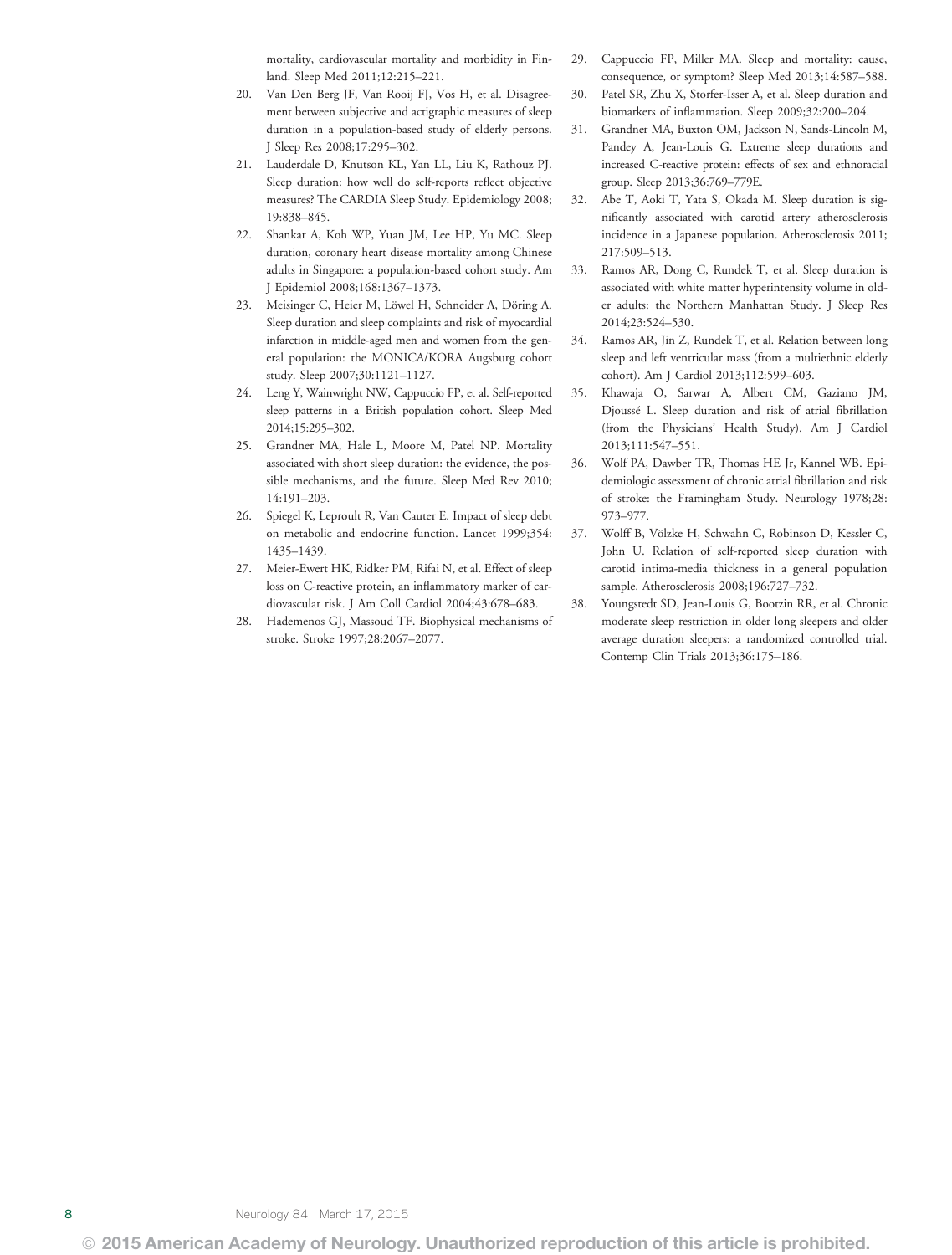mortality, cardiovascular mortality and morbidity in Finland. Sleep Med 2011;12:215–221.

- 20. Van Den Berg JF, Van Rooij FJ, Vos H, et al. Disagreement between subjective and actigraphic measures of sleep duration in a population-based study of elderly persons. J Sleep Res 2008;17:295–302.
- 21. Lauderdale D, Knutson KL, Yan LL, Liu K, Rathouz PJ. Sleep duration: how well do self-reports reflect objective measures? The CARDIA Sleep Study. Epidemiology 2008; 19:838–845.
- 22. Shankar A, Koh WP, Yuan JM, Lee HP, Yu MC. Sleep duration, coronary heart disease mortality among Chinese adults in Singapore: a population-based cohort study. Am J Epidemiol 2008;168:1367–1373.
- 23. Meisinger C, Heier M, Löwel H, Schneider A, Döring A. Sleep duration and sleep complaints and risk of myocardial infarction in middle-aged men and women from the general population: the MONICA/KORA Augsburg cohort study. Sleep 2007;30:1121–1127.
- 24. Leng Y, Wainwright NW, Cappuccio FP, et al. Self-reported sleep patterns in a British population cohort. Sleep Med 2014;15:295–302.
- 25. Grandner MA, Hale L, Moore M, Patel NP. Mortality associated with short sleep duration: the evidence, the possible mechanisms, and the future. Sleep Med Rev 2010; 14:191–203.
- 26. Spiegel K, Leproult R, Van Cauter E. Impact of sleep debt on metabolic and endocrine function. Lancet 1999;354: 1435–1439.
- 27. Meier-Ewert HK, Ridker PM, Rifai N, et al. Effect of sleep loss on C-reactive protein, an inflammatory marker of cardiovascular risk. J Am Coll Cardiol 2004;43:678–683.
- 28. Hademenos GJ, Massoud TF. Biophysical mechanisms of stroke. Stroke 1997;28:2067–2077.
- 29. Cappuccio FP, Miller MA. Sleep and mortality: cause, consequence, or symptom? Sleep Med 2013;14:587–588.
- 30. Patel SR, Zhu X, Storfer-Isser A, et al. Sleep duration and biomarkers of inflammation. Sleep 2009;32:200–204.
- 31. Grandner MA, Buxton OM, Jackson N, Sands-Lincoln M, Pandey A, Jean-Louis G. Extreme sleep durations and increased C-reactive protein: effects of sex and ethnoracial group. Sleep 2013;36:769–779E.
- 32. Abe T, Aoki T, Yata S, Okada M. Sleep duration is significantly associated with carotid artery atherosclerosis incidence in a Japanese population. Atherosclerosis 2011; 217:509–513.
- 33. Ramos AR, Dong C, Rundek T, et al. Sleep duration is associated with white matter hyperintensity volume in older adults: the Northern Manhattan Study. J Sleep Res 2014;23:524–530.
- 34. Ramos AR, Jin Z, Rundek T, et al. Relation between long sleep and left ventricular mass (from a multiethnic elderly cohort). Am J Cardiol 2013;112:599–603.
- 35. Khawaja O, Sarwar A, Albert CM, Gaziano JM, Djoussé L. Sleep duration and risk of atrial fibrillation (from the Physicians' Health Study). Am J Cardiol 2013;111:547–551.
- 36. Wolf PA, Dawber TR, Thomas HE Jr, Kannel WB. Epidemiologic assessment of chronic atrial fibrillation and risk of stroke: the Framingham Study. Neurology 1978;28: 973–977.
- 37. Wolff B, Völzke H, Schwahn C, Robinson D, Kessler C, John U. Relation of self-reported sleep duration with carotid intima-media thickness in a general population sample. Atherosclerosis 2008;196:727–732.
- 38. Youngstedt SD, Jean-Louis G, Bootzin RR, et al. Chronic moderate sleep restriction in older long sleepers and older average duration sleepers: a randomized controlled trial. Contemp Clin Trials 2013;36:175–186.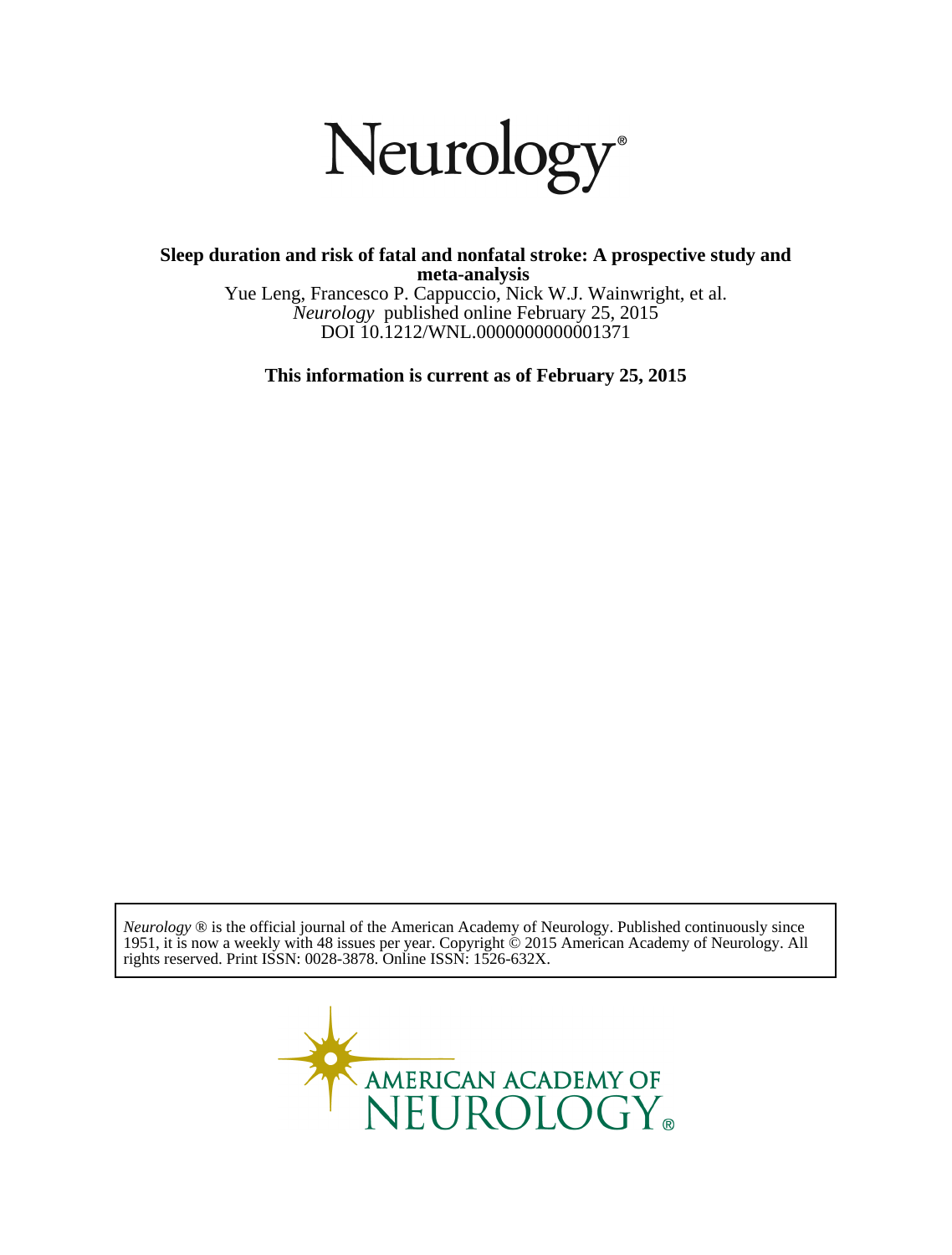

DOI 10.1212/WNL.0000000000001371 *Neurology* published online February 25, 2015 Yue Leng, Francesco P. Cappuccio, Nick W.J. Wainwright, et al. **meta-analysis Sleep duration and risk of fatal and nonfatal stroke: A prospective study and**

**This information is current as of February 25, 2015**

rights reserved. Print ISSN: 0028-3878. Online ISSN: 1526-632X. 1951, it is now a weekly with 48 issues per year. Copyright © 2015 American Academy of Neurology. All *Neurology* ® is the official journal of the American Academy of Neurology. Published continuously since